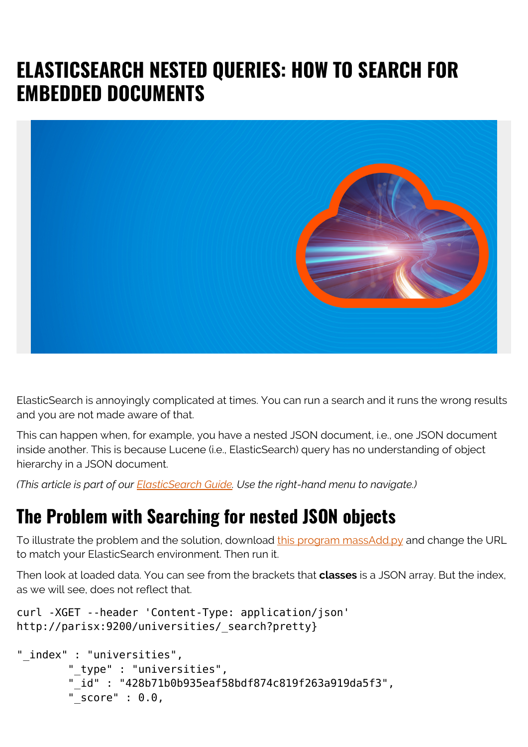## **ELASTICSEARCH NESTED QUERIES: HOW TO SEARCH FOR EMBEDDED DOCUMENTS**



ElasticSearch is annoyingly complicated at times. You can run a search and it runs the wrong results and you are not made aware of that.

This can happen when, for example, you have a nested JSON document, i.e., one JSON document inside another. This is because Lucene (i.e., ElasticSearch) query has no understanding of object hierarchy in a JSON document.

*(This article is part of our [ElasticSearch Guide.](https://blogs.bmc.com/blogs/elasticsearch-introduction/) Use the right-hand menu to navigate.)*

## **The Problem with Searching for nested JSON objects**

To illustrate the problem and the solution, download [this program massAdd.py](https://raw.githubusercontent.com/werowe/elasticsearch/master/massAdd.py) and change the URL to match your ElasticSearch environment. Then run it.

Then look at loaded data. You can see from the brackets that **classes** is a JSON array. But the index, as we will see, does not reflect that.

```
curl -XGET --header 'Content-Type: application/json'
http://parisx:9200/universities/_search?pretty}
```

```
"_index" : "universities",
         "_type" : "universities",
         "_id" : "428b71b0b935eaf58bdf874c819f263a919da5f3",
        " score" : 0.0,
```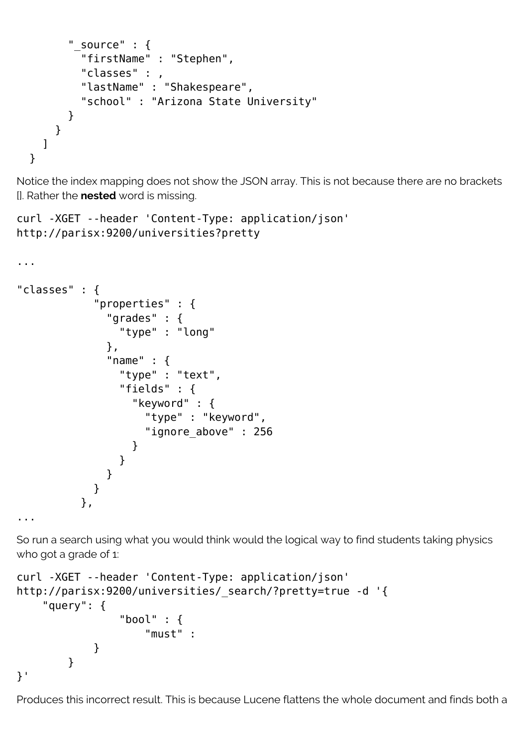```
" source" : {
         "firstName" : "Stephen",
         "classes" : ,
         "lastName" : "Shakespeare",
          "school" : "Arizona State University"
       }
     }
   ]
 }
```
Notice the index mapping does not show the JSON array. This is not because there are no brackets []. Rather the **nested** word is missing.

```
curl -XGET --header 'Content-Type: application/json'
http://parisx:9200/universities?pretty
```

```
...
"classes" : {
           "properties" : {
            "grades" : {
              "type" : "long"
            },
             "name" : {
              "type" : "text",
              "fields" : {
                "keyword" : {
                  "type" : "keyword",
                  "ignore_above" : 256
 }
 }
 }
 }
         },
...
```
So run a search using what you would think would the logical way to find students taking physics who got a grade of 1:

```
curl -XGET --header 'Content-Type: application/json'
http://parisx:9200/universities/_search/?pretty=true -d '{
     "query": {
                 "bool" : {
                    "must" :
 }
        }
}'
```
Produces this incorrect result. This is because Lucene flattens the whole document and finds both a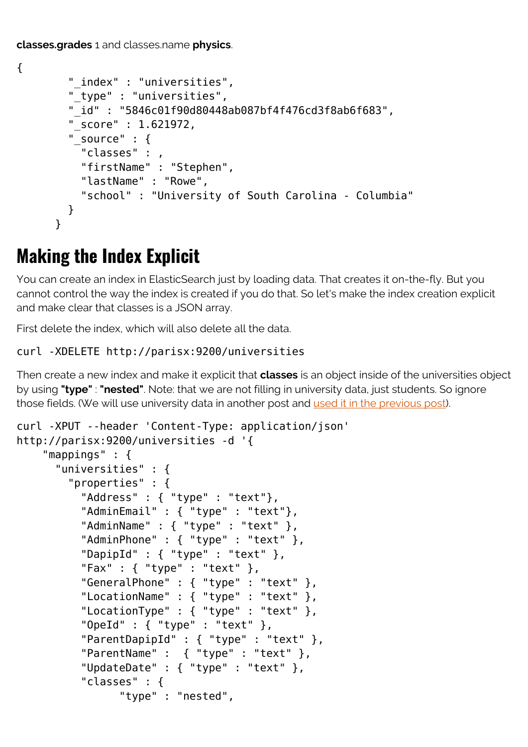**classes.grades** 1 and classes.name **physics**.

```
{
         "_index" : "universities",
         "_type" : "universities",
         "_id" : "5846c01f90d80448ab087bf4f476cd3f8ab6f683",
         "_score" : 1.621972,
        " source" : \{ "classes" : ,
           "firstName" : "Stephen",
           "lastName" : "Rowe",
           "school" : "University of South Carolina - Columbia"
         }
       }
```
## **Making the Index Explicit**

You can create an index in ElasticSearch just by loading data. That creates it on-the-fly. But you cannot control the way the index is created if you do that. So let's make the index creation explicit and make clear that classes is a JSON array.

First delete the index, which will also delete all the data.

## curl -XDELETE http://parisx:9200/universities

Then create a new index and make it explicit that **classes** is an object inside of the universities object by using **"type"** : **"nested"**. Note: that we are not filling in university data, just students. So ignore those fields. (We will use university data in another post and [used it in the previous post\)](https://blogs.bmc.com/blogs/elasticsearch-search-syntax-boolean-aggregation/).

```
curl -XPUT --header 'Content-Type: application/json'
http://parisx:9200/universities -d '{
     "mappings" : {
       "universities" : {
         "properties" : {
           "Address" : { "type" : "text"},
           "AdminEmail" : { "type" : "text"},
          "AdminName" : { "type" : "text" },
          "AdminPhone" : { "type" : "text" },
          "DapipId" : \{ "type" : "text" \}, "Fax" : { "type" : "text" },
           "GeneralPhone" : { "type" : "text" },
           "LocationName" : { "type" : "text" },
           "LocationType" : { "type" : "text" },
           "OpeId" : { "type" : "text" },
           "ParentDapipId" : { "type" : "text" },
           "ParentName" : { "type" : "text" },
           "UpdateDate" : { "type" : "text" },
           "classes" : {
                 "type" : "nested",
```